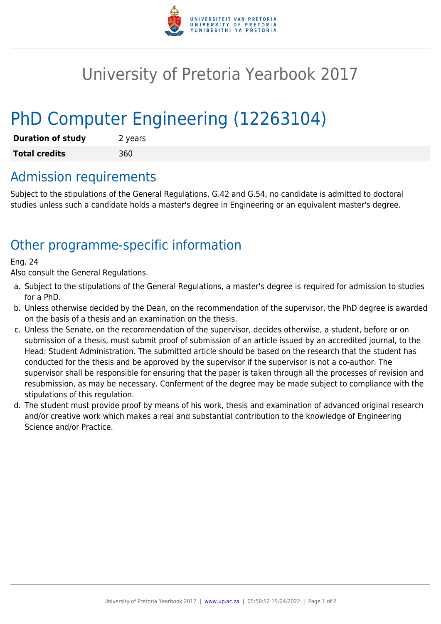

## University of Pretoria Yearbook 2017

# PhD Computer Engineering (12263104)

| <b>Duration of study</b> | 2 years |
|--------------------------|---------|
| <b>Total credits</b>     | 360     |

### Admission requirements

Subject to the stipulations of the General Regulations, G.42 and G.54, no candidate is admitted to doctoral studies unless such a candidate holds a master's degree in Engineering or an equivalent master's degree.

## Other programme-specific information

#### Eng. 24

Also consult the General Regulations.

- a. Subject to the stipulations of the General Regulations, a master's degree is required for admission to studies for a PhD.
- b. Unless otherwise decided by the Dean, on the recommendation of the supervisor, the PhD degree is awarded on the basis of a thesis and an examination on the thesis.
- c. Unless the Senate, on the recommendation of the supervisor, decides otherwise, a student, before or on submission of a thesis, must submit proof of submission of an article issued by an accredited journal, to the Head: Student Administration. The submitted article should be based on the research that the student has conducted for the thesis and be approved by the supervisor if the supervisor is not a co-author. The supervisor shall be responsible for ensuring that the paper is taken through all the processes of revision and resubmission, as may be necessary. Conferment of the degree may be made subject to compliance with the stipulations of this regulation.
- d. The student must provide proof by means of his work, thesis and examination of advanced original research and/or creative work which makes a real and substantial contribution to the knowledge of Engineering Science and/or Practice.